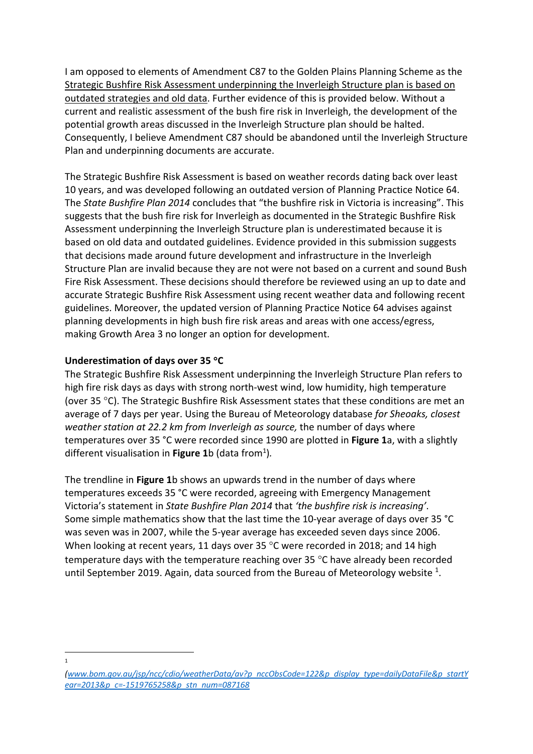I am opposed to elements of Amendment C87 to the Golden Plains Planning Scheme as the Strategic Bushfire Risk Assessment underpinning the Inverleigh Structure plan is based on outdated strategies and old data. Further evidence of this is provided below. Without a current and realistic assessment of the bush fire risk in Inverleigh, the development of the potential growth areas discussed in the Inverleigh Structure plan should be halted. Consequently, I believe Amendment C87 should be abandoned until the Inverleigh Structure Plan and underpinning documents are accurate.

The Strategic Bushfire Risk Assessment is based on weather records dating back over least 10 years, and was developed following an outdated version of Planning Practice Notice 64. The *State Bushfire Plan 2014* concludes that "the bushfire risk in Victoria is increasing". This suggests that the bush fire risk for Inverleigh as documented in the Strategic Bushfire Risk Assessment underpinning the Inverleigh Structure plan is underestimated because it is based on old data and outdated guidelines. Evidence provided in this submission suggests that decisions made around future development and infrastructure in the Inverleigh Structure Plan are invalid because they are not were not based on a current and sound Bush Fire Risk Assessment. These decisions should therefore be reviewed using an up to date and accurate Strategic Bushfire Risk Assessment using recent weather data and following recent guidelines. Moreover, the updated version of Planning Practice Notice 64 advises against planning developments in high bush fire risk areas and areas with one access/egress, making Growth Area 3 no longer an option for development.

### **Underestimation of days over 35** °**C**

The Strategic Bushfire Risk Assessment underpinning the Inverleigh Structure Plan refers to high fire risk days as days with strong north-west wind, low humidity, high temperature (over 35 °C). The Strategic Bushfire Risk Assessment states that these conditions are met an average of 7 days per year. Using the Bureau of Meteorology database *for Sheoaks, closest weather station at 22.2 km from Inverleigh as source,* the number of days where temperatures over 35 °C were recorded since 1990 are plotted in **Figure 1**a, with a slightly different visualisation in Figure 1b (data from<sup>1</sup>).

The trendline in **Figure 1**b shows an upwards trend in the number of days where temperatures exceeds 35 °C were recorded, agreeing with Emergency Management Victoria's statement in *State Bushfire Plan 2014* that *'the bushfire risk is increasing'*. Some simple mathematics show that the last time the 10-year average of days over 35 °C was seven was in 2007, while the 5-year average has exceeded seven days since 2006. When looking at recent years, 11 days over 35 °C were recorded in 2018; and 14 high temperature days with the temperature reaching over 35 °C have already been recorded until September 2019. Again, data sourced from the Bureau of Meteorology website  $^1$ .

```
1
```
*<sup>(</sup>www.bom.gov.au/jsp/ncc/cdio/weatherData/av?p\_nccObsCode=122&p\_display\_type=dailyDataFile&p\_startY ear=2013&p\_c=-1519765258&p\_stn\_num=087168*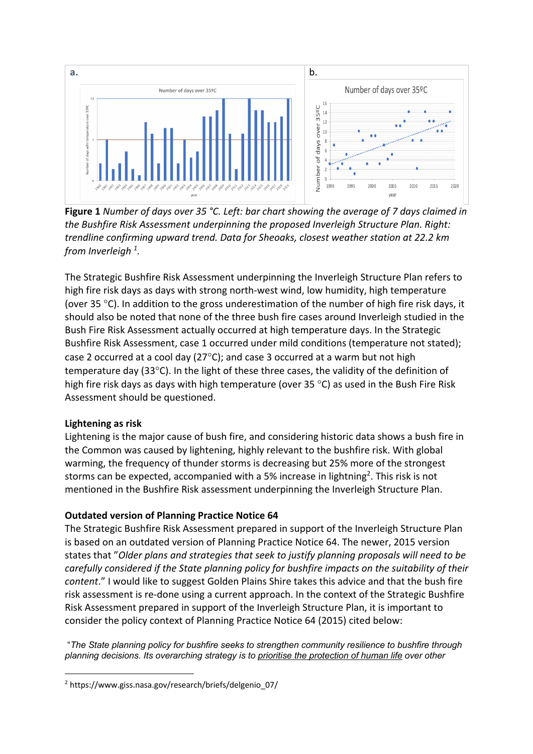

**Figure 1** *Number of days over 35 °C. Left: bar chart showing the average of 7 days claimed in the Bushfire Risk Assessment underpinning the proposed Inverleigh Structure Plan. Right: trendline confirming upward trend. Data for Sheoaks, closest weather station at 22.2 km from Inverleigh 1 .*

The Strategic Bushfire Risk Assessment underpinning the Inverleigh Structure Plan refers to high fire risk days as days with strong north-west wind, low humidity, high temperature (over 35  $^{\circ}$ C). In addition to the gross underestimation of the number of high fire risk days, it should also be noted that none of the three bush fire cases around Inverleigh studied in the Bush Fire Risk Assessment actually occurred at high temperature days. In the Strategic Bushfire Risk Assessment, case 1 occurred under mild conditions (temperature not stated); case 2 occurred at a cool day (27°C); and case 3 occurred at a warm but not high temperature day (33°C). In the light of these three cases, the validity of the definition of high fire risk days as days with high temperature (over 35 °C) as used in the Bush Fire Risk Assessment should be questioned.

# **Lightening as risk**

Lightening is the major cause of bush fire, and considering historic data shows a bush fire in the Common was caused by lightening, highly relevant to the bushfire risk. With global warming, the frequency of thunder storms is decreasing but 25% more of the strongest storms can be expected, accompanied with a 5% increase in lightning<sup>2</sup>. This risk is not mentioned in the Bushfire Risk assessment underpinning the Inverleigh Structure Plan.

# **Outdated version of Planning Practice Notice 64**

The Strategic Bushfire Risk Assessment prepared in support of the Inverleigh Structure Plan is based on an outdated version of Planning Practice Notice 64. The newer, 2015 version states that "*Older plans and strategies that seek to justify planning proposals will need to be carefully considered if the State planning policy for bushfire impacts on the suitability of their content*." I would like to suggest Golden Plains Shire takes this advice and that the bush fire risk assessment is re-done using a current approach. In the context of the Strategic Bushfire Risk Assessment prepared in support of the Inverleigh Structure Plan, it is important to consider the policy context of Planning Practice Notice 64 (2015) cited below:

"*The State planning policy for bushfire seeks to strengthen community resilience to bushfire through planning decisions. Its overarching strategy is to prioritise the protection of human life over other* 

<sup>2</sup> https://www.giss.nasa.gov/research/briefs/delgenio\_07/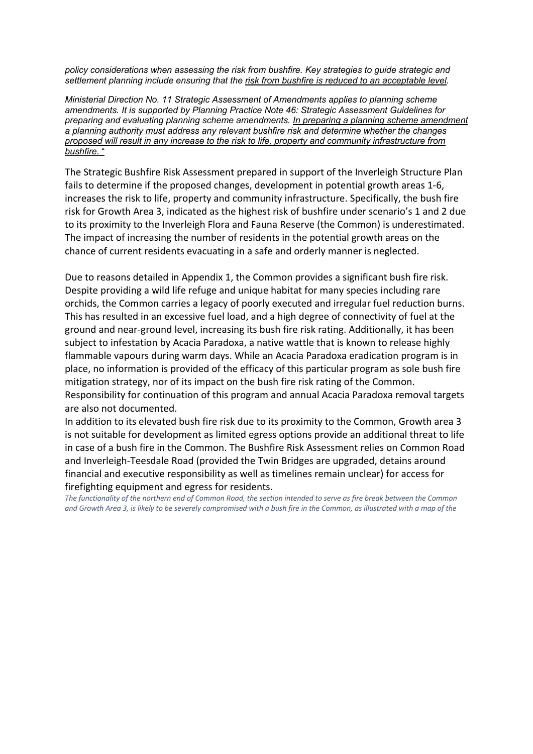*policy considerations when assessing the risk from bushfire. Key strategies to guide strategic and settlement planning include ensuring that the risk from bushfire is reduced to an acceptable level.* 

*Ministerial Direction No. 11 Strategic Assessment of Amendments applies to planning scheme amendments. It is supported by Planning Practice Note 46: Strategic Assessment Guidelines for preparing and evaluating planning scheme amendments. In preparing a planning scheme amendment a planning authority must address any relevant bushfire risk and determine whether the changes proposed will result in any increase to the risk to life, property and community infrastructure from bushfire.* "

The Strategic Bushfire Risk Assessment prepared in support of the Inverleigh Structure Plan fails to determine if the proposed changes, development in potential growth areas 1-6, increases the risk to life, property and community infrastructure. Specifically, the bush fire risk for Growth Area 3, indicated as the highest risk of bushfire under scenario's 1 and 2 due to its proximity to the Inverleigh Flora and Fauna Reserve (the Common) is underestimated. The impact of increasing the number of residents in the potential growth areas on the chance of current residents evacuating in a safe and orderly manner is neglected.

Due to reasons detailed in Appendix 1, the Common provides a significant bush fire risk. Despite providing a wild life refuge and unique habitat for many species including rare orchids, the Common carries a legacy of poorly executed and irregular fuel reduction burns. This has resulted in an excessive fuel load, and a high degree of connectivity of fuel at the ground and near-ground level, increasing its bush fire risk rating. Additionally, it has been subject to infestation by Acacia Paradoxa, a native wattle that is known to release highly flammable vapours during warm days. While an Acacia Paradoxa eradication program is in place, no information is provided of the efficacy of this particular program as sole bush fire mitigation strategy, nor of its impact on the bush fire risk rating of the Common. Responsibility for continuation of this program and annual Acacia Paradoxa removal targets are also not documented.

In addition to its elevated bush fire risk due to its proximity to the Common, Growth area 3 is not suitable for development as limited egress options provide an additional threat to life in case of a bush fire in the Common. The Bushfire Risk Assessment relies on Common Road and Inverleigh-Teesdale Road (provided the Twin Bridges are upgraded, detains around financial and executive responsibility as well as timelines remain unclear) for access for firefighting equipment and egress for residents.

The functionality of the northern end of Common Road, the section intended to serve as fire break between the Common *and Growth Area 3, is likely to be severely compromised with a bush fire in the Common, as illustrated with a map of the*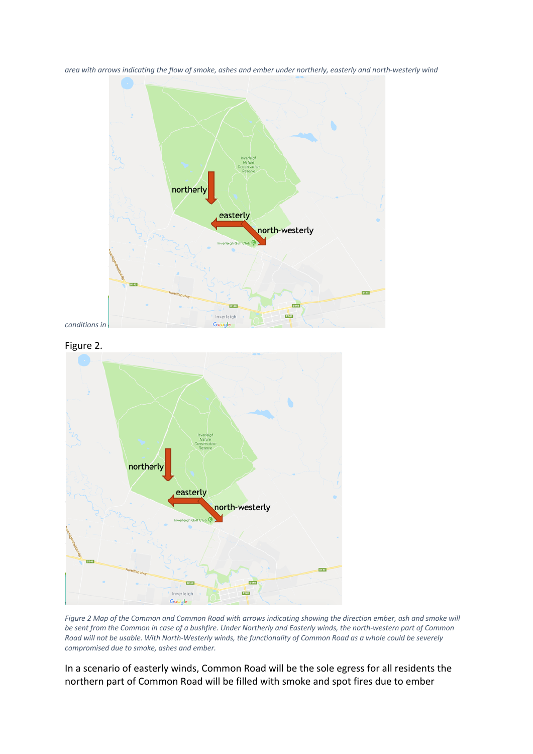

*area with arrows indicating the flow of smoke, ashes and ember under northerly, easterly and north-westerly wind* 



*Figure 2 Map of the Common and Common Road with arrows indicating showing the direction ember, ash and smoke will be sent from the Common in case of a bushfire. Under Northerly and Easterly winds, the north-western part of Common Road will not be usable. With North-Westerly winds, the functionality of Common Road as a whole could be severely compromised due to smoke, ashes and ember.* 

In a scenario of easterly winds, Common Road will be the sole egress for all residents the northern part of Common Road will be filled with smoke and spot fires due to ember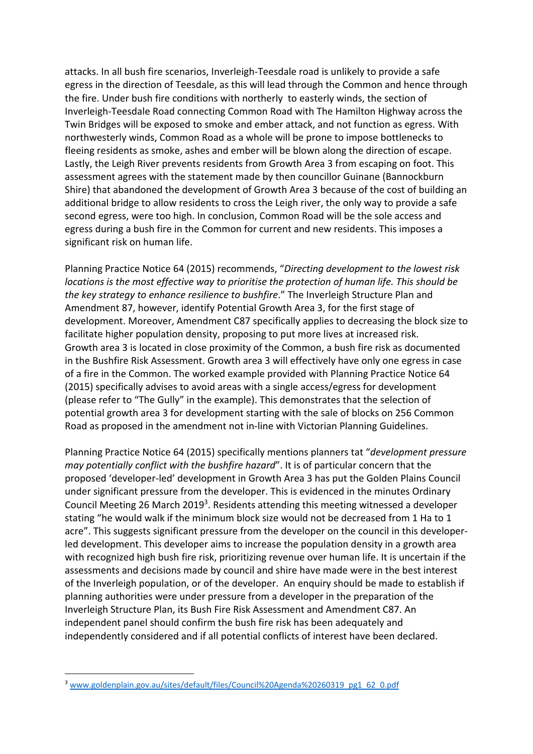attacks. In all bush fire scenarios, Inverleigh-Teesdale road is unlikely to provide a safe egress in the direction of Teesdale, as this will lead through the Common and hence through the fire. Under bush fire conditions with northerly to easterly winds, the section of Inverleigh-Teesdale Road connecting Common Road with The Hamilton Highway across the Twin Bridges will be exposed to smoke and ember attack, and not function as egress. With northwesterly winds, Common Road as a whole will be prone to impose bottlenecks to fleeing residents as smoke, ashes and ember will be blown along the direction of escape. Lastly, the Leigh River prevents residents from Growth Area 3 from escaping on foot. This assessment agrees with the statement made by then councillor Guinane (Bannockburn Shire) that abandoned the development of Growth Area 3 because of the cost of building an additional bridge to allow residents to cross the Leigh river, the only way to provide a safe second egress, were too high. In conclusion, Common Road will be the sole access and egress during a bush fire in the Common for current and new residents. This imposes a significant risk on human life.

Planning Practice Notice 64 (2015) recommends, "*Directing development to the lowest risk locations is the most effective way to prioritise the protection of human life. This should be the key strategy to enhance resilience to bushfire*." The Inverleigh Structure Plan and Amendment 87, however, identify Potential Growth Area 3, for the first stage of development. Moreover, Amendment C87 specifically applies to decreasing the block size to facilitate higher population density, proposing to put more lives at increased risk. Growth area 3 is located in close proximity of the Common, a bush fire risk as documented in the Bushfire Risk Assessment. Growth area 3 will effectively have only one egress in case of a fire in the Common. The worked example provided with Planning Practice Notice 64 (2015) specifically advises to avoid areas with a single access/egress for development (please refer to "The Gully" in the example). This demonstrates that the selection of potential growth area 3 for development starting with the sale of blocks on 256 Common Road as proposed in the amendment not in-line with Victorian Planning Guidelines.

Planning Practice Notice 64 (2015) specifically mentions planners tat "*development pressure may potentially conflict with the bushfire hazard*". It is of particular concern that the proposed 'developer-led' development in Growth Area 3 has put the Golden Plains Council under significant pressure from the developer. This is evidenced in the minutes Ordinary Council Meeting 26 March 2019<sup>3</sup>. Residents attending this meeting witnessed a developer stating "he would walk if the minimum block size would not be decreased from 1 Ha to 1 acre". This suggests significant pressure from the developer on the council in this developerled development. This developer aims to increase the population density in a growth area with recognized high bush fire risk, prioritizing revenue over human life. It is uncertain if the assessments and decisions made by council and shire have made were in the best interest of the Inverleigh population, or of the developer. An enquiry should be made to establish if planning authorities were under pressure from a developer in the preparation of the Inverleigh Structure Plan, its Bush Fire Risk Assessment and Amendment C87. An independent panel should confirm the bush fire risk has been adequately and independently considered and if all potential conflicts of interest have been declared.

<sup>3</sup> www.goldenplain.gov.au/sites/default/files/Council%20Agenda%20260319\_pg1\_62\_0.pdf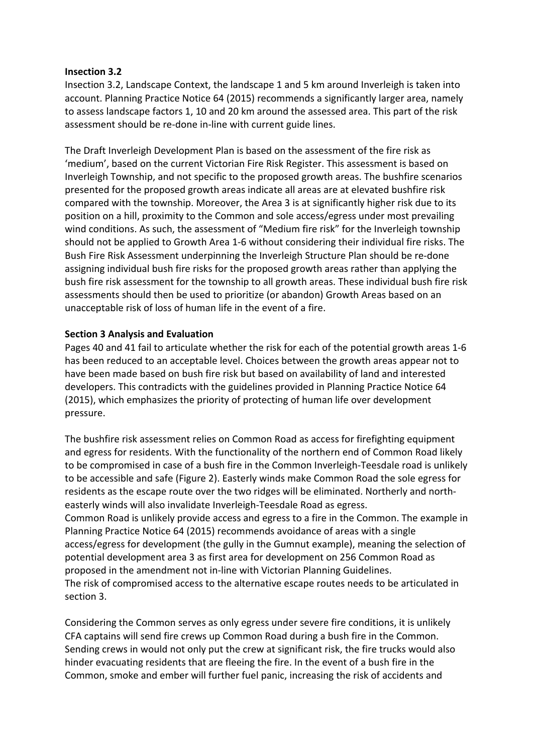#### **Insection 3.2**

Insection 3.2, Landscape Context, the landscape 1 and 5 km around Inverleigh is taken into account. Planning Practice Notice 64 (2015) recommends a significantly larger area, namely to assess landscape factors 1, 10 and 20 km around the assessed area. This part of the risk assessment should be re-done in-line with current guide lines.

The Draft Inverleigh Development Plan is based on the assessment of the fire risk as 'medium', based on the current Victorian Fire Risk Register. This assessment is based on Inverleigh Township, and not specific to the proposed growth areas. The bushfire scenarios presented for the proposed growth areas indicate all areas are at elevated bushfire risk compared with the township. Moreover, the Area 3 is at significantly higher risk due to its position on a hill, proximity to the Common and sole access/egress under most prevailing wind conditions. As such, the assessment of "Medium fire risk" for the Inverleigh township should not be applied to Growth Area 1-6 without considering their individual fire risks. The Bush Fire Risk Assessment underpinning the Inverleigh Structure Plan should be re-done assigning individual bush fire risks for the proposed growth areas rather than applying the bush fire risk assessment for the township to all growth areas. These individual bush fire risk assessments should then be used to prioritize (or abandon) Growth Areas based on an unacceptable risk of loss of human life in the event of a fire.

### **Section 3 Analysis and Evaluation**

Pages 40 and 41 fail to articulate whether the risk for each of the potential growth areas 1-6 has been reduced to an acceptable level. Choices between the growth areas appear not to have been made based on bush fire risk but based on availability of land and interested developers. This contradicts with the guidelines provided in Planning Practice Notice 64 (2015), which emphasizes the priority of protecting of human life over development pressure.

The bushfire risk assessment relies on Common Road as access for firefighting equipment and egress for residents. With the functionality of the northern end of Common Road likely to be compromised in case of a bush fire in the Common Inverleigh-Teesdale road is unlikely to be accessible and safe (Figure 2). Easterly winds make Common Road the sole egress for residents as the escape route over the two ridges will be eliminated. Northerly and northeasterly winds will also invalidate Inverleigh-Teesdale Road as egress. Common Road is unlikely provide access and egress to a fire in the Common. The example in Planning Practice Notice 64 (2015) recommends avoidance of areas with a single

access/egress for development (the gully in the Gumnut example), meaning the selection of potential development area 3 as first area for development on 256 Common Road as proposed in the amendment not in-line with Victorian Planning Guidelines. The risk of compromised access to the alternative escape routes needs to be articulated in section 3.

Considering the Common serves as only egress under severe fire conditions, it is unlikely CFA captains will send fire crews up Common Road during a bush fire in the Common. Sending crews in would not only put the crew at significant risk, the fire trucks would also hinder evacuating residents that are fleeing the fire. In the event of a bush fire in the Common, smoke and ember will further fuel panic, increasing the risk of accidents and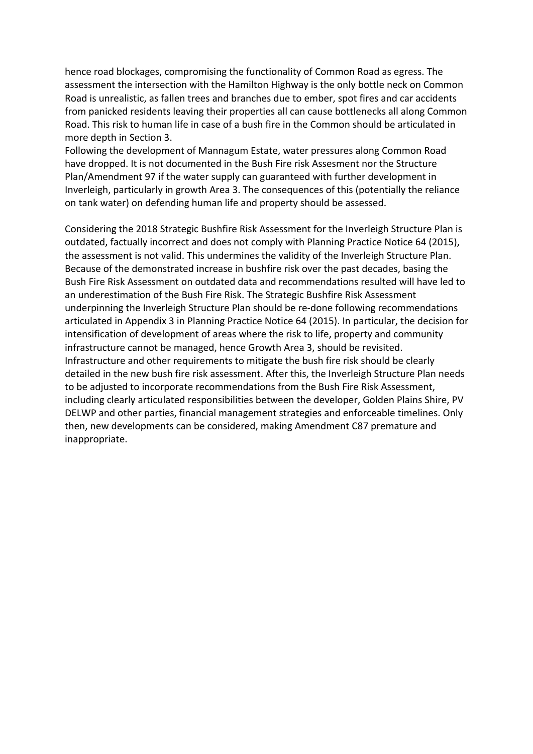hence road blockages, compromising the functionality of Common Road as egress. The assessment the intersection with the Hamilton Highway is the only bottle neck on Common Road is unrealistic, as fallen trees and branches due to ember, spot fires and car accidents from panicked residents leaving their properties all can cause bottlenecks all along Common Road. This risk to human life in case of a bush fire in the Common should be articulated in more depth in Section 3.

Following the development of Mannagum Estate, water pressures along Common Road have dropped. It is not documented in the Bush Fire risk Assesment nor the Structure Plan/Amendment 97 if the water supply can guaranteed with further development in Inverleigh, particularly in growth Area 3. The consequences of this (potentially the reliance on tank water) on defending human life and property should be assessed.

Considering the 2018 Strategic Bushfire Risk Assessment for the Inverleigh Structure Plan is outdated, factually incorrect and does not comply with Planning Practice Notice 64 (2015), the assessment is not valid. This undermines the validity of the Inverleigh Structure Plan. Because of the demonstrated increase in bushfire risk over the past decades, basing the Bush Fire Risk Assessment on outdated data and recommendations resulted will have led to an underestimation of the Bush Fire Risk. The Strategic Bushfire Risk Assessment underpinning the Inverleigh Structure Plan should be re-done following recommendations articulated in Appendix 3 in Planning Practice Notice 64 (2015). In particular, the decision for intensification of development of areas where the risk to life, property and community infrastructure cannot be managed, hence Growth Area 3, should be revisited. Infrastructure and other requirements to mitigate the bush fire risk should be clearly detailed in the new bush fire risk assessment. After this, the Inverleigh Structure Plan needs to be adjusted to incorporate recommendations from the Bush Fire Risk Assessment, including clearly articulated responsibilities between the developer, Golden Plains Shire, PV DELWP and other parties, financial management strategies and enforceable timelines. Only then, new developments can be considered, making Amendment C87 premature and inappropriate.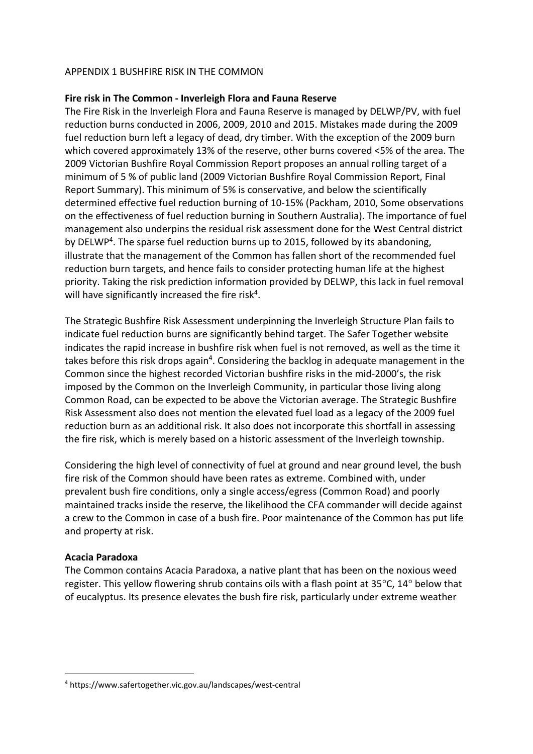### APPENDIX 1 BUSHFIRE RISK IN THE COMMON

## **Fire risk in The Common - Inverleigh Flora and Fauna Reserve**

The Fire Risk in the Inverleigh Flora and Fauna Reserve is managed by DELWP/PV, with fuel reduction burns conducted in 2006, 2009, 2010 and 2015. Mistakes made during the 2009 fuel reduction burn left a legacy of dead, dry timber. With the exception of the 2009 burn which covered approximately 13% of the reserve, other burns covered <5% of the area. The 2009 Victorian Bushfire Royal Commission Report proposes an annual rolling target of a minimum of 5 % of public land (2009 Victorian Bushfire Royal Commission Report, Final Report Summary). This minimum of 5% is conservative, and below the scientifically determined effective fuel reduction burning of 10-15% (Packham, 2010, Some observations on the effectiveness of fuel reduction burning in Southern Australia). The importance of fuel management also underpins the residual risk assessment done for the West Central district by DELWP<sup>4</sup>. The sparse fuel reduction burns up to 2015, followed by its abandoning, illustrate that the management of the Common has fallen short of the recommended fuel reduction burn targets, and hence fails to consider protecting human life at the highest priority. Taking the risk prediction information provided by DELWP, this lack in fuel removal will have significantly increased the fire risk<sup>4</sup>.

The Strategic Bushfire Risk Assessment underpinning the Inverleigh Structure Plan fails to indicate fuel reduction burns are significantly behind target. The Safer Together website indicates the rapid increase in bushfire risk when fuel is not removed, as well as the time it takes before this risk drops again<sup>4</sup>. Considering the backlog in adequate management in the Common since the highest recorded Victorian bushfire risks in the mid-2000's, the risk imposed by the Common on the Inverleigh Community, in particular those living along Common Road, can be expected to be above the Victorian average. The Strategic Bushfire Risk Assessment also does not mention the elevated fuel load as a legacy of the 2009 fuel reduction burn as an additional risk. It also does not incorporate this shortfall in assessing the fire risk, which is merely based on a historic assessment of the Inverleigh township.

Considering the high level of connectivity of fuel at ground and near ground level, the bush fire risk of the Common should have been rates as extreme. Combined with, under prevalent bush fire conditions, only a single access/egress (Common Road) and poorly maintained tracks inside the reserve, the likelihood the CFA commander will decide against a crew to the Common in case of a bush fire. Poor maintenance of the Common has put life and property at risk.

### **Acacia Paradoxa**

The Common contains Acacia Paradoxa, a native plant that has been on the noxious weed register. This yellow flowering shrub contains oils with a flash point at 35°C, 14° below that of eucalyptus. Its presence elevates the bush fire risk, particularly under extreme weather

<sup>4</sup> https://www.safertogether.vic.gov.au/landscapes/west-central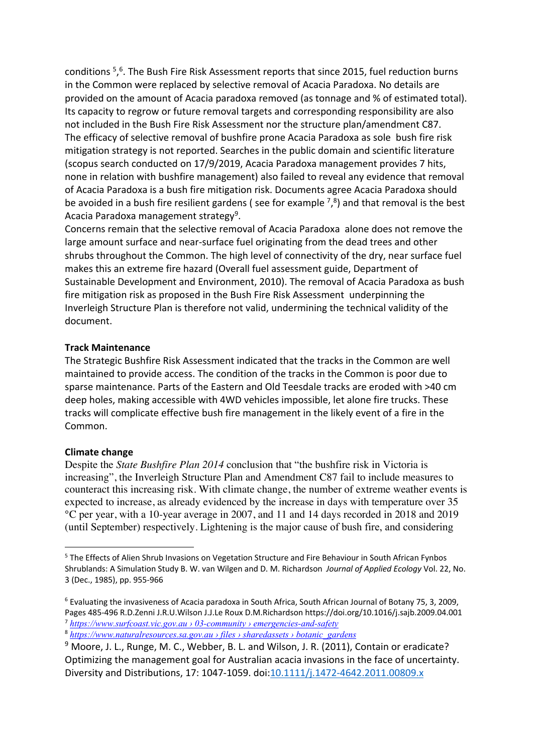conditions 5, 6 . The Bush Fire Risk Assessment reports that since 2015, fuel reduction burns in the Common were replaced by selective removal of Acacia Paradoxa. No details are provided on the amount of Acacia paradoxa removed (as tonnage and % of estimated total). Its capacity to regrow or future removal targets and corresponding responsibility are also not included in the Bush Fire Risk Assessment nor the structure plan/amendment C87. The efficacy of selective removal of bushfire prone Acacia Paradoxa as sole bush fire risk mitigation strategy is not reported. Searches in the public domain and scientific literature (scopus search conducted on 17/9/2019, Acacia Paradoxa management provides 7 hits, none in relation with bushfire management) also failed to reveal any evidence that removal of Acacia Paradoxa is a bush fire mitigation risk. Documents agree Acacia Paradoxa should be avoided in a bush fire resilient gardens (see for example  $^7$ ,  $^8$ ) and that removal is the best Acacia Paradoxa management strategy<sup>9</sup>.

Concerns remain that the selective removal of Acacia Paradoxa alone does not remove the large amount surface and near-surface fuel originating from the dead trees and other shrubs throughout the Common. The high level of connectivity of the dry, near surface fuel makes this an extreme fire hazard (Overall fuel assessment guide, Department of Sustainable Development and Environment, 2010). The removal of Acacia Paradoxa as bush fire mitigation risk as proposed in the Bush Fire Risk Assessment underpinning the Inverleigh Structure Plan is therefore not valid, undermining the technical validity of the document.

### **Track Maintenance**

The Strategic Bushfire Risk Assessment indicated that the tracks in the Common are well maintained to provide access. The condition of the tracks in the Common is poor due to sparse maintenance. Parts of the Eastern and Old Teesdale tracks are eroded with >40 cm deep holes, making accessible with 4WD vehicles impossible, let alone fire trucks. These tracks will complicate effective bush fire management in the likely event of a fire in the Common.

#### **Climate change**

Despite the *State Bushfire Plan 2014* conclusion that "the bushfire risk in Victoria is increasing", the Inverleigh Structure Plan and Amendment C87 fail to include measures to counteract this increasing risk. With climate change, the number of extreme weather events is expected to increase, as already evidenced by the increase in days with temperature over 35 °C per year, with a 10-year average in 2007, and 11 and 14 days recorded in 2018 and 2019 (until September) respectively. Lightening is the major cause of bush fire, and considering

<sup>5</sup> The Effects of Alien Shrub Invasions on Vegetation Structure and Fire Behaviour in South African Fynbos Shrublands: A Simulation Study B. W. van Wilgen and D. M. Richardson *Journal of Applied Ecology* Vol. 22, No. 3 (Dec., 1985), pp. 955-966

<sup>6</sup> Evaluating the invasiveness of Acacia paradoxa in South Africa, South African Journal of Botany 75, 3, 2009, Pages 485-496 R.D.Zenni J.R.U.Wilson J.J.Le Roux D.M.Richardson https://doi.org/10.1016/j.sajb.2009.04.001 <sup>7</sup> *https://www.surfcoast.vic.gov.au › 03-community › emergencies-and-safety*

<sup>8</sup> *https://www.naturalresources.sa.gov.au › files › sharedassets › botanic\_gardens*

<sup>&</sup>lt;sup>9</sup> Moore, J. L., Runge, M. C., Webber, B. L. and Wilson, J. R. (2011), Contain or eradicate? Optimizing the management goal for Australian acacia invasions in the face of uncertainty. Diversity and Distributions, 17: 1047-1059. doi:10.1111/j.1472-4642.2011.00809.x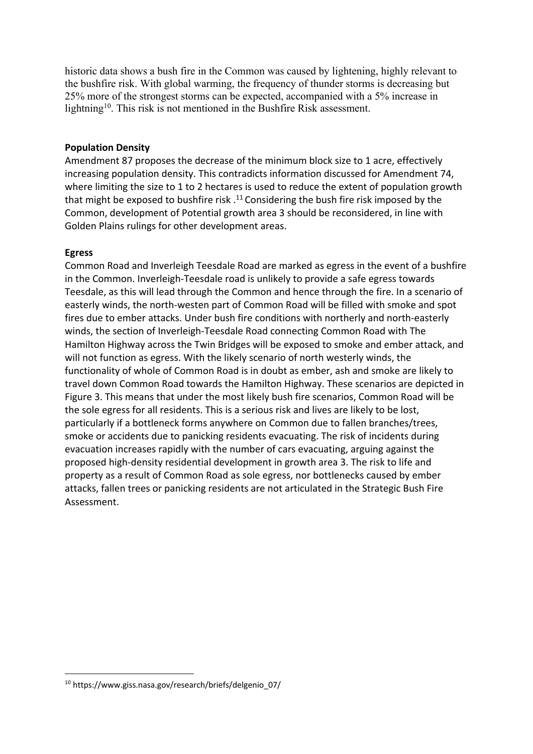historic data shows a bush fire in the Common was caused by lightening, highly relevant to the bushfire risk. With global warming, the frequency of thunder storms is decreasing but 25% more of the strongest storms can be expected, accompanied with a 5% increase in lightning<sup>10</sup>. This risk is not mentioned in the Bushfire Risk assessment.

#### **Population Density**

Amendment 87 proposes the decrease of the minimum block size to 1 acre, effectively increasing population density. This contradicts information discussed for Amendment 74, where limiting the size to 1 to 2 hectares is used to reduce the extent of population growth that might be exposed to bushfire risk  $^{11}$  Considering the bush fire risk imposed by the Common, development of Potential growth area 3 should be reconsidered, in line with Golden Plains rulings for other development areas.

### **Egress**

Common Road and Inverleigh Teesdale Road are marked as egress in the event of a bushfire in the Common. Inverleigh-Teesdale road is unlikely to provide a safe egress towards Teesdale, as this will lead through the Common and hence through the fire. In a scenario of easterly winds, the north-westen part of Common Road will be filled with smoke and spot fires due to ember attacks. Under bush fire conditions with northerly and north-easterly winds, the section of Inverleigh-Teesdale Road connecting Common Road with The Hamilton Highway across the Twin Bridges will be exposed to smoke and ember attack, and will not function as egress. With the likely scenario of north westerly winds, the functionality of whole of Common Road is in doubt as ember, ash and smoke are likely to travel down Common Road towards the Hamilton Highway. These scenarios are depicted in Figure 3. This means that under the most likely bush fire scenarios, Common Road will be the sole egress for all residents. This is a serious risk and lives are likely to be lost, particularly if a bottleneck forms anywhere on Common due to fallen branches/trees, smoke or accidents due to panicking residents evacuating. The risk of incidents during evacuation increases rapidly with the number of cars evacuating, arguing against the proposed high-density residential development in growth area 3. The risk to life and property as a result of Common Road as sole egress, nor bottlenecks caused by ember attacks, fallen trees or panicking residents are not articulated in the Strategic Bush Fire Assessment.

<sup>10</sup> https://www.giss.nasa.gov/research/briefs/delgenio\_07/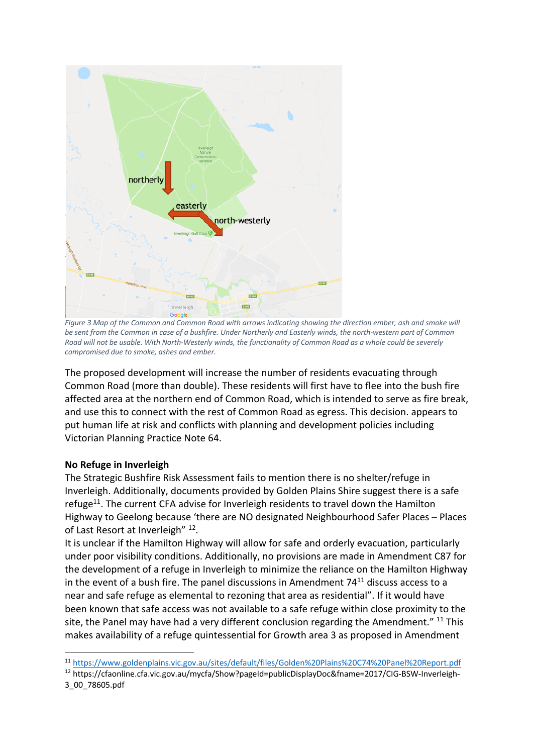

*Figure 3 Map of the Common and Common Road with arrows indicating showing the direction ember, ash and smoke will be sent from the Common in case of a bushfire. Under Northerly and Easterly winds, the north-western part of Common Road will not be usable. With North-Westerly winds, the functionality of Common Road as a whole could be severely compromised due to smoke, ashes and ember.* 

The proposed development will increase the number of residents evacuating through Common Road (more than double). These residents will first have to flee into the bush fire affected area at the northern end of Common Road, which is intended to serve as fire break, and use this to connect with the rest of Common Road as egress. This decision. appears to put human life at risk and conflicts with planning and development policies including Victorian Planning Practice Note 64.

# **No Refuge in Inverleigh**

The Strategic Bushfire Risk Assessment fails to mention there is no shelter/refuge in Inverleigh. Additionally, documents provided by Golden Plains Shire suggest there is a safe refuge $11$ . The current CFA advise for Inverleigh residents to travel down the Hamilton Highway to Geelong because 'there are NO designated Neighbourhood Safer Places – Places of Last Resort at Inverleigh" 12.

It is unclear if the Hamilton Highway will allow for safe and orderly evacuation, particularly under poor visibility conditions. Additionally, no provisions are made in Amendment C87 for the development of a refuge in Inverleigh to minimize the reliance on the Hamilton Highway in the event of a bush fire. The panel discussions in Amendment  $74^{11}$  discuss access to a near and safe refuge as elemental to rezoning that area as residential". If it would have been known that safe access was not available to a safe refuge within close proximity to the site, the Panel may have had a very different conclusion regarding the Amendment."  $^{11}$  This makes availability of a refuge quintessential for Growth area 3 as proposed in Amendment

<sup>11</sup> https://www.goldenplains.vic.gov.au/sites/default/files/Golden%20Plains%20C74%20Panel%20Report.pdf

<sup>12</sup> https://cfaonline.cfa.vic.gov.au/mycfa/Show?pageId=publicDisplayDoc&fname=2017/CIG-BSW-Inverleigh-3\_00\_78605.pdf